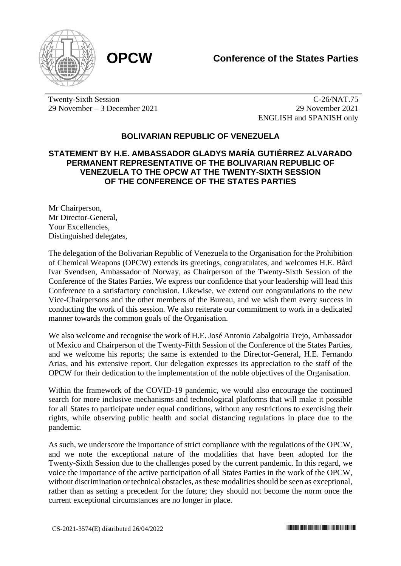

Twenty-Sixth Session 29 November – 3 December 2021

C-26/NAT.75 29 November 2021 ENGLISH and SPANISH only

## **BOLIVARIAN REPUBLIC OF VENEZUELA**

## **STATEMENT BY H.E. AMBASSADOR GLADYS MARÍA GUTIÉRREZ ALVARADO PERMANENT REPRESENTATIVE OF THE BOLIVARIAN REPUBLIC OF VENEZUELA TO THE OPCW AT THE TWENTY-SIXTH SESSION OF THE CONFERENCE OF THE STATES PARTIES**

Mr Chairperson, Mr Director-General, Your Excellencies, Distinguished delegates,

The delegation of the Bolivarian Republic of Venezuela to the Organisation for the Prohibition of Chemical Weapons (OPCW) extends its greetings, congratulates, and welcomes H.E. Bård Ivar Svendsen, Ambassador of Norway, as Chairperson of the Twenty-Sixth Session of the Conference of the States Parties. We express our confidence that your leadership will lead this Conference to a satisfactory conclusion. Likewise, we extend our congratulations to the new Vice-Chairpersons and the other members of the Bureau, and we wish them every success in conducting the work of this session. We also reiterate our commitment to work in a dedicated manner towards the common goals of the Organisation.

We also welcome and recognise the work of H.E. José Antonio Zabalgoitia Trejo, Ambassador of Mexico and Chairperson of the Twenty-Fifth Session of the Conference of the States Parties, and we welcome his reports; the same is extended to the Director-General, H.E. Fernando Arias, and his extensive report. Our delegation expresses its appreciation to the staff of the OPCW for their dedication to the implementation of the noble objectives of the Organisation.

Within the framework of the COVID-19 pandemic, we would also encourage the continued search for more inclusive mechanisms and technological platforms that will make it possible for all States to participate under equal conditions, without any restrictions to exercising their rights, while observing public health and social distancing regulations in place due to the pandemic.

As such, we underscore the importance of strict compliance with the regulations of the OPCW, and we note the exceptional nature of the modalities that have been adopted for the Twenty-Sixth Session due to the challenges posed by the current pandemic. In this regard, we voice the importance of the active participation of all States Parties in the work of the OPCW, without discrimination or technical obstacles, as these modalities should be seen as exceptional, rather than as setting a precedent for the future; they should not become the norm once the current exceptional circumstances are no longer in place.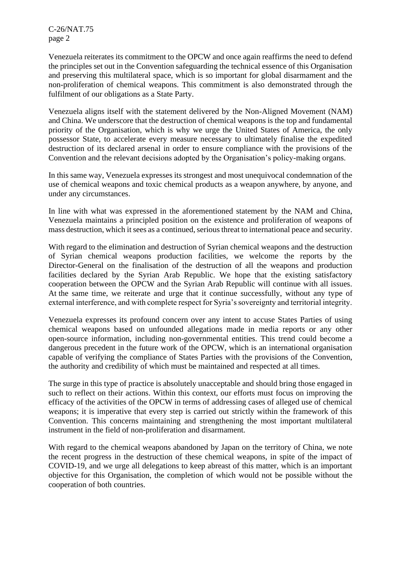C-26/NAT.75 page 2

Venezuela reiterates its commitment to the OPCW and once again reaffirms the need to defend the principles set out in the Convention safeguarding the technical essence of this Organisation and preserving this multilateral space, which is so important for global disarmament and the non-proliferation of chemical weapons. This commitment is also demonstrated through the fulfilment of our obligations as a State Party.

Venezuela aligns itself with the statement delivered by the Non-Aligned Movement (NAM) and China. We underscore that the destruction of chemical weapons is the top and fundamental priority of the Organisation, which is why we urge the United States of America, the only possessor State, to accelerate every measure necessary to ultimately finalise the expedited destruction of its declared arsenal in order to ensure compliance with the provisions of the Convention and the relevant decisions adopted by the Organisation's policy-making organs.

In this same way, Venezuela expresses its strongest and most unequivocal condemnation of the use of chemical weapons and toxic chemical products as a weapon anywhere, by anyone, and under any circumstances.

In line with what was expressed in the aforementioned statement by the NAM and China, Venezuela maintains a principled position on the existence and proliferation of weapons of mass destruction, which it sees as a continued, serious threat to international peace and security.

With regard to the elimination and destruction of Syrian chemical weapons and the destruction of Syrian chemical weapons production facilities, we welcome the reports by the Director-General on the finalisation of the destruction of all the weapons and production facilities declared by the Syrian Arab Republic. We hope that the existing satisfactory cooperation between the OPCW and the Syrian Arab Republic will continue with all issues. At the same time, we reiterate and urge that it continue successfully, without any type of external interference, and with complete respect for Syria's sovereignty and territorial integrity.

Venezuela expresses its profound concern over any intent to accuse States Parties of using chemical weapons based on unfounded allegations made in media reports or any other open-source information, including non-governmental entities. This trend could become a dangerous precedent in the future work of the OPCW, which is an international organisation capable of verifying the compliance of States Parties with the provisions of the Convention, the authority and credibility of which must be maintained and respected at all times.

The surge in this type of practice is absolutely unacceptable and should bring those engaged in such to reflect on their actions. Within this context, our efforts must focus on improving the efficacy of the activities of the OPCW in terms of addressing cases of alleged use of chemical weapons; it is imperative that every step is carried out strictly within the framework of this Convention. This concerns maintaining and strengthening the most important multilateral instrument in the field of non-proliferation and disarmament.

With regard to the chemical weapons abandoned by Japan on the territory of China, we note the recent progress in the destruction of these chemical weapons, in spite of the impact of COVID-19, and we urge all delegations to keep abreast of this matter, which is an important objective for this Organisation, the completion of which would not be possible without the cooperation of both countries.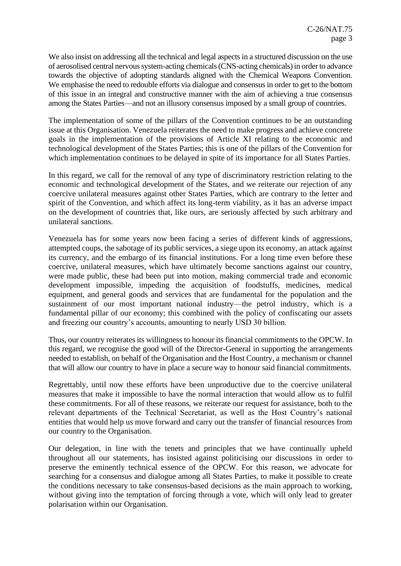We also insist on addressing all the technical and legal aspects in a structured discussion on the use of aerosolised central nervous system-acting chemicals (CNS-acting chemicals) in order to advance towards the objective of adopting standards aligned with the Chemical Weapons Convention. We emphasise the need to redouble efforts via dialogue and consensus in order to get to the bottom of this issue in an integral and constructive manner with the aim of achieving a true consensus among the States Parties—and not an illusory consensus imposed by a small group of countries.

The implementation of some of the pillars of the Convention continues to be an outstanding issue at this Organisation. Venezuela reiterates the need to make progress and achieve concrete goals in the implementation of the provisions of Article XI relating to the economic and technological development of the States Parties; this is one of the pillars of the Convention for which implementation continues to be delayed in spite of its importance for all States Parties.

In this regard, we call for the removal of any type of discriminatory restriction relating to the economic and technological development of the States, and we reiterate our rejection of any coercive unilateral measures against other States Parties, which are contrary to the letter and spirit of the Convention, and which affect its long-term viability, as it has an adverse impact on the development of countries that, like ours, are seriously affected by such arbitrary and unilateral sanctions.

Venezuela has for some years now been facing a series of different kinds of aggressions, attempted coups, the sabotage of its public services, a siege upon its economy, an attack against its currency, and the embargo of its financial institutions. For a long time even before these coercive, unilateral measures, which have ultimately become sanctions against our country, were made public, these had been put into motion, making commercial trade and economic development impossible, impeding the acquisition of foodstuffs, medicines, medical equipment, and general goods and services that are fundamental for the population and the sustainment of our most important national industry—the petrol industry, which is a fundamental pillar of our economy; this combined with the policy of confiscating our assets and freezing our country's accounts, amounting to nearly USD 30 billion.

Thus, our country reiterates its willingness to honour its financial commitments to the OPCW. In this regard, we recognise the good will of the Director-General in supporting the arrangements needed to establish, on behalf of the Organisation and the Host Country, a mechanism or channel that will allow our country to have in place a secure way to honour said financial commitments.

Regrettably, until now these efforts have been unproductive due to the coercive unilateral measures that make it impossible to have the normal interaction that would allow us to fulfil these commitments. For all of these reasons, we reiterate our request for assistance, both to the relevant departments of the Technical Secretariat, as well as the Host Country's national entities that would help us move forward and carry out the transfer of financial resources from our country to the Organisation.

Our delegation, in line with the tenets and principles that we have continually upheld throughout all our statements, has insisted against politicising our discussions in order to preserve the eminently technical essence of the OPCW. For this reason, we advocate for searching for a consensus and dialogue among all States Parties, to make it possible to create the conditions necessary to take consensus-based decisions as the main approach to working, without giving into the temptation of forcing through a vote, which will only lead to greater polarisation within our Organisation.